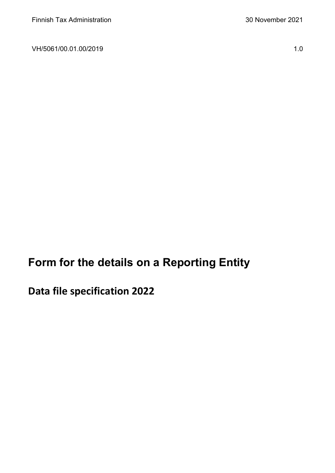VH/5061/00.01.00/2019 1.0

**Form for the details on a Reporting Entity**

**Data file specification 2022**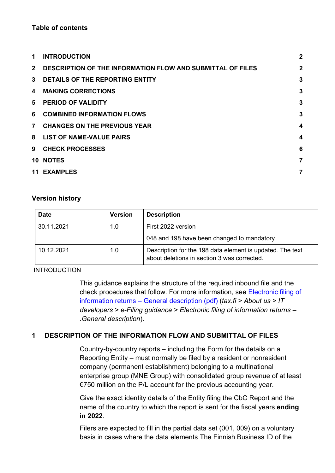#### **Table of contents**

| 1              | <b>INTRODUCTION</b>                                               | $\mathbf{2}$   |
|----------------|-------------------------------------------------------------------|----------------|
| $\mathbf{2}$   | <b>DESCRIPTION OF THE INFORMATION FLOW AND SUBMITTAL OF FILES</b> | $\overline{2}$ |
| $3^{\circ}$    | DETAILS OF THE REPORTING ENTITY                                   | 3              |
| 4              | <b>MAKING CORRECTIONS</b>                                         | 3              |
| 5.             | <b>PERIOD OF VALIDITY</b>                                         | 3              |
| 6              | <b>COMBINED INFORMATION FLOWS</b>                                 | 3              |
| $\overline{7}$ | <b>CHANGES ON THE PREVIOUS YEAR</b>                               | 4              |
| 8              | <b>LIST OF NAME-VALUE PAIRS</b>                                   | 4              |
| 9              | <b>CHECK PROCESSES</b>                                            | 6              |
|                | 10 NOTES                                                          | 7              |
|                | <b>11 EXAMPLES</b>                                                | 7              |

#### **Version history**

| <b>Date</b> | <b>Version</b> | <b>Description</b>                                                                                       |  |
|-------------|----------------|----------------------------------------------------------------------------------------------------------|--|
| 30.11.2021  | 1.0            | First 2022 version                                                                                       |  |
|             |                | 048 and 198 have been changed to mandatory.                                                              |  |
| 10.12.2021  | 1.0            | Description for the 198 data element is updated. The text<br>about deletions in section 3 was corrected. |  |

#### <span id="page-1-0"></span>INTRODUCTION

This guidance explains the structure of the required inbound file and the check procedures that follow. For more information, see [Electronic filing of](https://www.vero.fi/globalassets/tietoa-verohallinnosta/ohjelmistokehittajille/finnish-tax-administration_electronic-filing-of-information-returns-general-description.pdf)  information returns – [General description \(pdf\)](https://www.vero.fi/globalassets/tietoa-verohallinnosta/ohjelmistokehittajille/finnish-tax-administration_electronic-filing-of-information-returns-general-description.pdf) (*tax.fi > About us > IT developers > e-Filing guidance > Electronic filing of information returns – .General description*).

## <span id="page-1-1"></span>**1 DESCRIPTION OF THE INFORMATION FLOW AND SUBMITTAL OF FILES**

Country-by-country reports – including the Form for the details on a Reporting Entity – must normally be filed by a resident or nonresident company (permanent establishment) belonging to a multinational enterprise group (MNE Group) with consolidated group revenue of at least €750 million on the P/L account for the previous accounting year.

Give the exact identity details of the Entity filing the CbC Report and the name of the country to which the report is sent for the fiscal years **ending in 2022**.

Filers are expected to fill in the partial data set (001, 009) on a voluntary basis in cases where the data elements The Finnish Business ID of the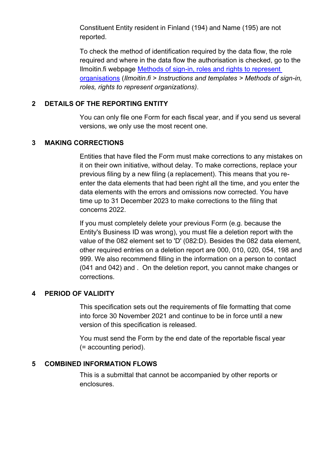Constituent Entity resident in Finland (194) and Name (195) are not reported.

To check the method of identification required by the data flow, the role required and where in the data flow the authorisation is checked, go to the Ilmoitin.fi webpage [Methods of sign-in, roles and rights to represent](https://www.ilmoitin.fi/webtamo/sivut/IlmoituslajiRoolit?kieli=en&tv=CBCSEL)  [organisations](https://www.ilmoitin.fi/webtamo/sivut/IlmoituslajiRoolit?kieli=en&tv=CBCSEL) (*Ilmoitin.fi > Instructions and templates > Methods of sign-in, roles, rights to represent organizations)*.

### <span id="page-2-0"></span>**2 DETAILS OF THE REPORTING ENTITY**

You can only file one Form for each fiscal year, and if you send us several versions, we only use the most recent one.

#### <span id="page-2-1"></span>**3 MAKING CORRECTIONS**

Entities that have filed the Form must make corrections to any mistakes on it on their own initiative, without delay. To make corrections, replace your previous filing by a new filing (a replacement). This means that you reenter the data elements that had been right all the time, and you enter the data elements with the errors and omissions now corrected. You have time up to 31 December 2023 to make corrections to the filing that concerns 2022.

If you must completely delete your previous Form (e.g. because the Entity's Business ID was wrong), you must file a deletion report with the value of the 082 element set to 'D' (082:D). Besides the 082 data element, other required entries on a deletion report are 000, 010, 020, 054, 198 and 999. We also recommend filling in the information on a person to contact (041 and 042) and . On the deletion report, you cannot make changes or corrections.

#### <span id="page-2-2"></span>**4 PERIOD OF VALIDITY**

This specification sets out the requirements of file formatting that come into force 30 November 2021 and continue to be in force until a new version of this specification is released.

You must send the Form by the end date of the reportable fiscal year (= accounting period).

## <span id="page-2-3"></span>**5 COMBINED INFORMATION FLOWS**

This is a submittal that cannot be accompanied by other reports or enclosures.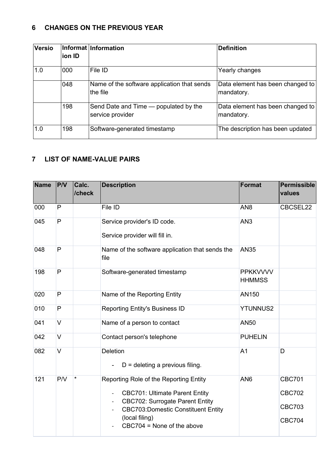## <span id="page-3-0"></span>**6 CHANGES ON THE PREVIOUS YEAR**

| <b>Versio</b> | lion ID | Informat Information                                      | <b>Definition</b>                              |
|---------------|---------|-----------------------------------------------------------|------------------------------------------------|
| 1.0           | 000     | File ID                                                   | Yearly changes                                 |
|               | 048     | Name of the software application that sends<br>the file   | Data element has been changed to<br>mandatory. |
|               | 198     | Send Date and Time — populated by the<br>service provider | Data element has been changed to<br>mandatory. |
| 1.0           | 198     | Software-generated timestamp                              | The description has been updated               |

# <span id="page-3-1"></span>**7 LIST OF NAME-VALUE PAIRS**

| <b>Name</b> | PVV          | Calc.<br>/check | <b>Description</b>                                                                                                                                                                                                                                                               | <b>Format</b>                    | Permissible<br>values                                            |
|-------------|--------------|-----------------|----------------------------------------------------------------------------------------------------------------------------------------------------------------------------------------------------------------------------------------------------------------------------------|----------------------------------|------------------------------------------------------------------|
| 000         | P            |                 | File ID                                                                                                                                                                                                                                                                          | AN <sub>8</sub>                  | CBCSEL22                                                         |
| 045         | $\mathsf{P}$ |                 | Service provider's ID code.<br>Service provider will fill in.                                                                                                                                                                                                                    | AN <sub>3</sub>                  |                                                                  |
| 048         | $\mathsf{P}$ |                 | Name of the software application that sends the<br>file                                                                                                                                                                                                                          | <b>AN35</b>                      |                                                                  |
| 198         | $\mathsf{P}$ |                 | Software-generated timestamp                                                                                                                                                                                                                                                     | <b>PPKKVVVV</b><br><b>HHMMSS</b> |                                                                  |
| 020         | P            |                 | Name of the Reporting Entity                                                                                                                                                                                                                                                     | AN150                            |                                                                  |
| 010         | $\mathsf{P}$ |                 | <b>Reporting Entity's Business ID</b>                                                                                                                                                                                                                                            | <b>YTUNNUS2</b>                  |                                                                  |
| 041         | $\vee$       |                 | Name of a person to contact                                                                                                                                                                                                                                                      | <b>AN50</b>                      |                                                                  |
| 042         | $\vee$       |                 | Contact person's telephone                                                                                                                                                                                                                                                       | <b>PUHELIN</b>                   |                                                                  |
| 082         | $\vee$       |                 | Deletion<br>$D =$ deleting a previous filing.                                                                                                                                                                                                                                    | A <sub>1</sub>                   | D                                                                |
| 121         | P/V          | $\star$         | Reporting Role of the Reporting Entity<br><b>CBC701: Ultimate Parent Entity</b><br>$\overline{\phantom{a}}$<br><b>CBC702: Surrogate Parent Entity</b><br>$\overline{\phantom{a}}$<br><b>CBC703:Domestic Constituent Entity</b><br>(local filing)<br>$CBC704 = None of the above$ | AN <sub>6</sub>                  | <b>CBC701</b><br><b>CBC702</b><br><b>CBC703</b><br><b>CBC704</b> |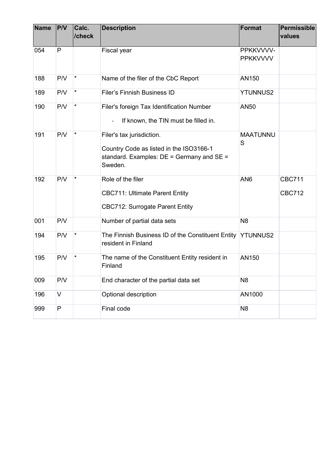| <b>Name</b> | P/V | Calc.<br>/check | <b>Description</b>                                                                                                               | <b>Format</b>                | Permissible<br>values          |
|-------------|-----|-----------------|----------------------------------------------------------------------------------------------------------------------------------|------------------------------|--------------------------------|
| 054         | P   |                 | Fiscal year                                                                                                                      | PPKKVVVV-<br><b>PPKKVVVV</b> |                                |
| 188         | P/V | $\star$         | Name of the filer of the CbC Report                                                                                              | AN150                        |                                |
| 189         | P/V | $\star$         | <b>Filer's Finnish Business ID</b>                                                                                               | <b>YTUNNUS2</b>              |                                |
| 190         | P/V | $\star$         | Filer's foreign Tax Identification Number<br>If known, the TIN must be filled in.                                                | AN50                         |                                |
| 191         | P/V | *               | Filer's tax jurisdiction.<br>Country Code as listed in the ISO3166-1<br>standard. Examples: $DE =$ Germany and $SE =$<br>Sweden. | <b>MAATUNNU</b><br>S         |                                |
| 192         | P/V | $\star$         | Role of the filer<br><b>CBC711: Ultimate Parent Entity</b><br><b>CBC712: Surrogate Parent Entity</b>                             | AN <sub>6</sub>              | <b>CBC711</b><br><b>CBC712</b> |
| 001         | P/V |                 | Number of partial data sets                                                                                                      | N <sub>8</sub>               |                                |
| 194         | P/V | $\star$         | The Finnish Business ID of the Constituent Entity YTUNNUS2<br>resident in Finland                                                |                              |                                |
| 195         | P/V | $^\star$        | The name of the Constituent Entity resident in<br>Finland                                                                        | AN150                        |                                |
| 009         | P/V |                 | End character of the partial data set                                                                                            | N <sub>8</sub>               |                                |
| 196         | V   |                 | Optional description                                                                                                             | AN1000                       |                                |
| 999         | P   |                 | Final code                                                                                                                       | N <sub>8</sub>               |                                |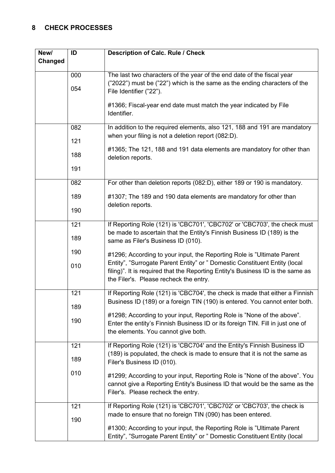# <span id="page-5-0"></span>**8 CHECK PROCESSES**

| New/    | ID  | <b>Description of Calc. Rule / Check</b>                                                                                                                                                                |
|---------|-----|---------------------------------------------------------------------------------------------------------------------------------------------------------------------------------------------------------|
| Changed |     |                                                                                                                                                                                                         |
|         | 000 | The last two characters of the year of the end date of the fiscal year                                                                                                                                  |
|         | 054 | ("2022") must be ("22") which is the same as the ending characters of the<br>File Identifier ("22").                                                                                                    |
|         |     | #1366; Fiscal-year end date must match the year indicated by File<br>Identifier.                                                                                                                        |
|         | 082 | In addition to the required elements, also 121, 188 and 191 are mandatory                                                                                                                               |
|         | 121 | when your filing is not a deletion report (082:D).                                                                                                                                                      |
|         | 188 | #1365; The 121, 188 and 191 data elements are mandatory for other than<br>deletion reports.                                                                                                             |
|         | 191 |                                                                                                                                                                                                         |
|         | 082 | For other than deletion reports (082:D), either 189 or 190 is mandatory.                                                                                                                                |
|         | 189 | #1307; The 189 and 190 data elements are mandatory for other than<br>deletion reports.                                                                                                                  |
|         | 190 |                                                                                                                                                                                                         |
|         | 121 | If Reporting Role (121) is 'CBC701', 'CBC702' or 'CBC703', the check must                                                                                                                               |
|         | 189 | be made to ascertain that the Entity's Finnish Business ID (189) is the<br>same as Filer's Business ID (010).                                                                                           |
|         | 190 | #1296; According to your input, the Reporting Role is "Ultimate Parent"                                                                                                                                 |
|         | 010 | Entity", "Surrogate Parent Entity" or " Domestic Constituent Entity (local<br>filing)". It is required that the Reporting Entity's Business ID is the same as<br>the Filer's. Please recheck the entry. |
|         | 121 | If Reporting Role (121) is 'CBC704', the check is made that either a Finnish                                                                                                                            |
|         | 189 | Business ID (189) or a foreign TIN (190) is entered. You cannot enter both.                                                                                                                             |
|         | 190 | #1298; According to your input, Reporting Role is "None of the above".<br>Enter the entity's Finnish Business ID or its foreign TIN. Fill in just one of<br>the elements. You cannot give both.         |
|         | 121 | If Reporting Role (121) is 'CBC704' and the Entity's Finnish Business ID                                                                                                                                |
|         | 189 | (189) is populated, the check is made to ensure that it is not the same as<br>Filer's Business ID (010).                                                                                                |
|         | 010 | #1299; According to your input, Reporting Role is "None of the above". You<br>cannot give a Reporting Entity's Business ID that would be the same as the<br>Filer's. Please recheck the entry.          |
|         | 121 | If Reporting Role (121) is 'CBC701', 'CBC702' or 'CBC703', the check is                                                                                                                                 |
|         | 190 | made to ensure that no foreign TIN (090) has been entered.                                                                                                                                              |
|         |     | #1300; According to your input, the Reporting Role is "Ultimate Parent<br>Entity", "Surrogate Parent Entity" or " Domestic Constituent Entity (local                                                    |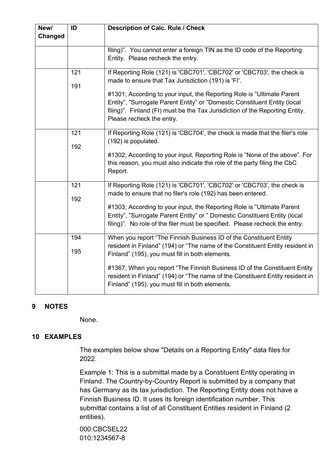| New/<br><b>Changed</b> | ID         | <b>Description of Calc. Rule / Check</b>                                                                                                                                                                                                                                                                                                                                                                                |
|------------------------|------------|-------------------------------------------------------------------------------------------------------------------------------------------------------------------------------------------------------------------------------------------------------------------------------------------------------------------------------------------------------------------------------------------------------------------------|
|                        |            | filing)". You cannot enter a foreign TIN as the ID code of the Reporting<br>Entity. Please recheck the entry.                                                                                                                                                                                                                                                                                                           |
|                        | 121<br>191 | If Reporting Role (121) is 'CBC701', 'CBC702' or 'CBC703', the check is<br>made to ensure that Tax Jurisdiction (191) is 'FI'.<br>#1301; According to your input, the Reporting Role is "Ultimate Parent<br>Entity", "Surrogate Parent Entity" or "Domestic Constituent Entity (local<br>filing)". Finland (FI) must be the Tax Jurisdiction of the Reporting Entity.<br>Please recheck the entry.                      |
|                        | 121<br>192 | If Reporting Role (121) is 'CBC704', the check is made that the filer's role<br>(192) is populated.<br>#1302; According to your input, Reporting Role is "None of the above". For<br>this reason, you must also indicate the role of the party filing the CbC<br>Report.                                                                                                                                                |
|                        | 121<br>192 | If Reporting Role (121) is 'CBC701', 'CBC702' or 'CBC703', the check is<br>made to ensure that no filer's role (192) has been entered.<br>#1303; According to your input, the Reporting Role is "Ultimate Parent<br>Entity", "Surrogate Parent Entity" or " Domestic Constituent Entity (local<br>filing)". No role of the filer must be specified. Please recheck the entry.                                           |
|                        | 194<br>195 | When you report "The Finnish Business ID of the Constituent Entity<br>resident in Finland" (194) or "The name of the Constituent Entity resident in<br>Finland" (195), you must fill in both elements.<br>#1367; When you report "The Finnish Business ID of the Constituent Entity<br>resident in Finland" (194) or "The name of the Constituent Entity resident in<br>Finland" (195), you must fill in both elements. |

## <span id="page-6-0"></span>**9 NOTES**

None.

## <span id="page-6-1"></span>**10 EXAMPLES**

The examples below show "Details on a Reporting Entity" data files for 2022.

Example 1: This is a submittal made by a Constituent Entity operating in Finland. The Country-by-Country Report is submitted by a company that has Germany as its tax jurisdiction. The Reporting Entity does not have a Finnish Business ID. It uses its foreign identification number. This submittal contains a list of all Constituent Entities resident in Finland (2 entities).

000:CBCSEL22 010:1234567-8